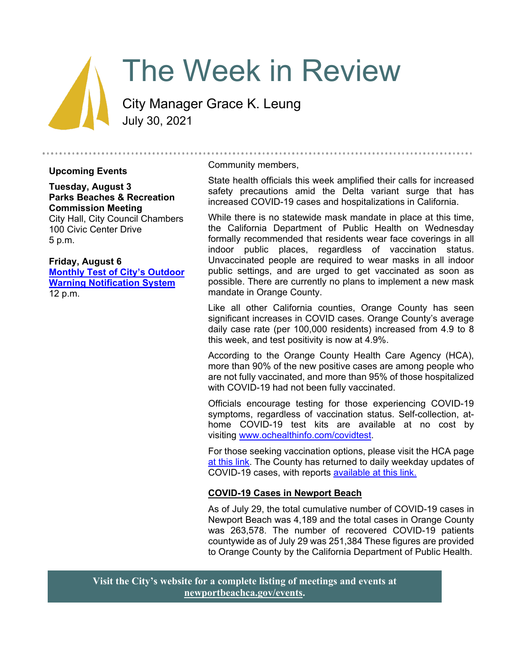# The Week in Review

City Manager Grace K. Leung July 30, 2021

#### **Upcoming Events**

**Tuesday, August 3 Parks Beaches & Recreation Commission Meeting** City Hall, City Council Chambers 100 Civic Center Drive 5 p.m.

#### **Friday, August 6 [Monthly Test of City's Outdoor](https://newportbeachca.gov/Home/Components/Calendar/Event/66030/72?curm=8&cury=2021)  [Warning Notification System](https://newportbeachca.gov/Home/Components/Calendar/Event/66030/72?curm=8&cury=2021)**

12 p.m.

#### Community members,

State health officials this week amplified their calls for increased safety precautions amid the Delta variant surge that has increased COVID-19 cases and hospitalizations in California.

While there is no statewide mask mandate in place at this time, the California Department of Public Health on Wednesday formally recommended that residents wear face coverings in all indoor public places, regardless of vaccination status. Unvaccinated people are required to wear masks in all indoor public settings, and are urged to get vaccinated as soon as possible. There are currently no plans to implement a new mask mandate in Orange County.

Like all other California counties, Orange County has seen significant increases in COVID cases. Orange County's average daily case rate (per 100,000 residents) increased from 4.9 to 8 this week, and test positivity is now at 4.9%.

According to the Orange County Health Care Agency (HCA), more than 90% of the new positive cases are among people who are not fully vaccinated, and more than 95% of those hospitalized with COVID-19 had not been fully vaccinated.

Officials encourage testing for those experiencing COVID-19 symptoms, regardless of vaccination status. Self-collection, athome COVID-19 test kits are available at no cost by visiting [www.ochealthinfo.com/covidtest.](http://www.ochealthinfo.com/covidtest)

For those seeking vaccination options, please visit the HCA page [at this link.](https://occovid19.ochealthinfo.com/covid-19-vaccine-distribution-channels) The County has returned to daily weekday updates of COVID-19 cases, with reports [available at this link.](https://ochca.maps.arcgis.com/apps/dashboards/cc4859c8c522496b9f21c451de2fedae)

## **COVID-19 Cases in Newport Beach**

As of July 29, the total cumulative number of COVID-19 cases in Newport Beach was 4,189 and the total cases in Orange County was 263,578. The number of recovered COVID-19 patients countywide as of July 29 was 251,384 These figures are provided to Orange County by the California Department of Public Health.